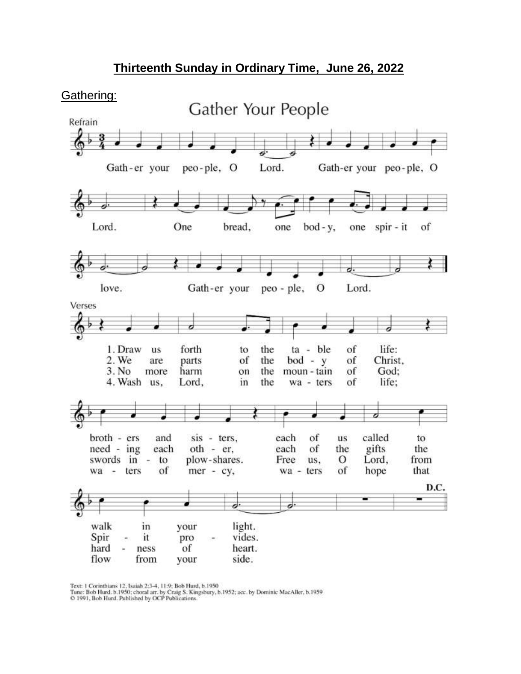

Text: 1 Corinthians 12, Isaiah 2:3-4, 11:9; Bob Hurd, b.1950<br>Tune: Bob Hurd. b.1950; choral arr. by Craig S. Kingsbury, b.1952; acc. by Dominic MacAller, b.1959<br>© 1991, Bob Hurd. Published by OCP Publications.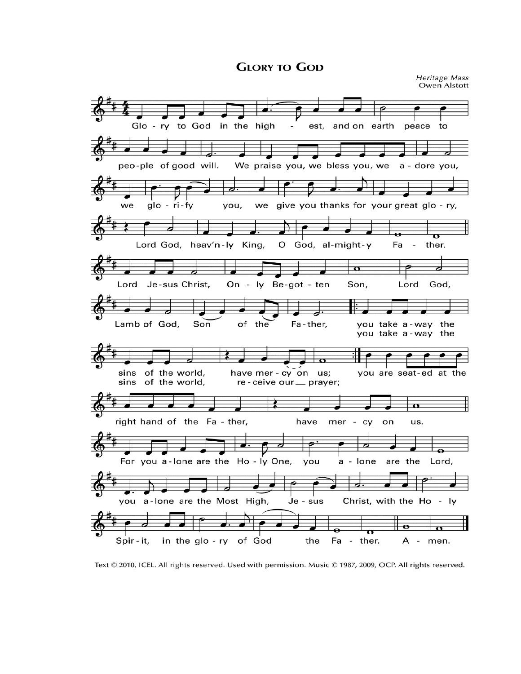**GLORY TO GOD** 

Heritage Mass Owen Alstott



Text © 2010, ICEL. All rights reserved. Used with permission. Music © 1987, 2009, OCP. All rights reserved.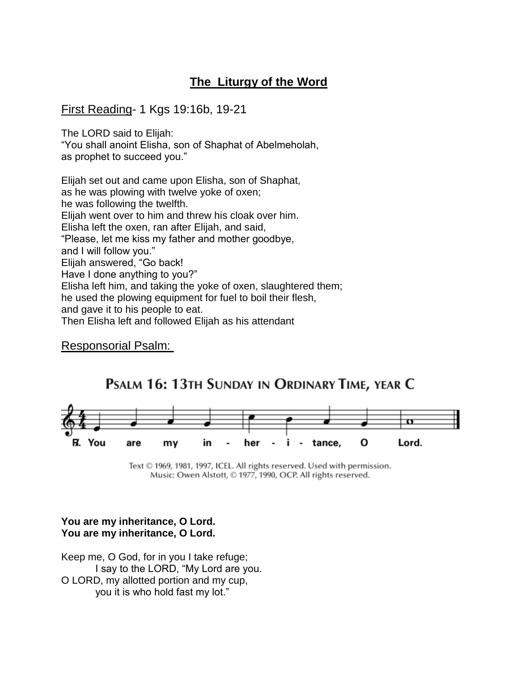# **The Liturgy of the Word**

# First Reading- [1 Kgs 19:16b, 19-21](https://bible.usccb.org/bible/1kings/19?16)

The LORD said to Elijah:

"You shall anoint Elisha, son of Shaphat of Abelmeholah, as prophet to succeed you."

Elijah set out and came upon Elisha, son of Shaphat, as he was plowing with twelve yoke of oxen; he was following the twelfth. Elijah went over to him and threw his cloak over him. Elisha left the oxen, ran after Elijah, and said, "Please, let me kiss my father and mother goodbye, and I will follow you." Elijah answered, "Go back! Have I done anything to you?" Elisha left him, and taking the yoke of oxen, slaughtered them; he used the plowing equipment for fuel to boil their flesh, and gave it to his people to eat. Then Elisha left and followed Elijah as his attendant

Responsorial Psalm:

# PSALM 16: 13TH SUNDAY IN ORDINARY TIME, YEAR C



Text © 1969, 1981, 1997, ICEL. All rights reserved. Used with permission. Music: Owen Alstott, © 1977, 1990, OCP. All rights reserved.

#### **You are my inheritance, O Lord. You are my inheritance, O Lord.**

Keep me, O God, for in you I take refuge; I say to the LORD, "My Lord are you. O LORD, my allotted portion and my cup, you it is who hold fast my lot."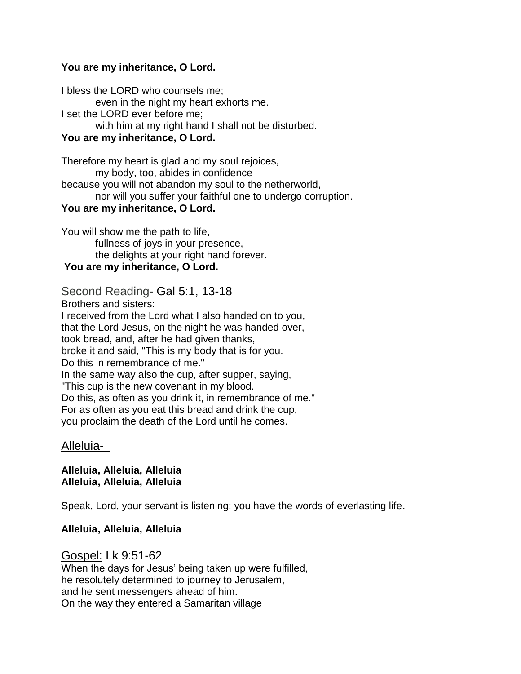#### **You are my inheritance, O Lord.**

I bless the LORD who counsels me; even in the night my heart exhorts me. I set the LORD ever before me; with him at my right hand I shall not be disturbed. **You are my inheritance, O Lord.**

Therefore my heart is glad and my soul rejoices, my body, too, abides in confidence because you will not abandon my soul to the netherworld, nor will you suffer your faithful one to undergo corruption. **You are my inheritance, O Lord.**

You will show me the path to life, fullness of joys in your presence, the delights at your right hand forever. **You are my inheritance, O Lord.**

Second Reading- [Gal 5:1, 13-18](https://bible.usccb.org/bible/galatians/5?1)

Brothers and sisters: I received from the Lord what I also handed on to you, that the Lord Jesus, on the night he was handed over, took bread, and, after he had given thanks, broke it and said, "This is my body that is for you. Do this in remembrance of me." In the same way also the cup, after supper, saying, "This cup is the new covenant in my blood. Do this, as often as you drink it, in remembrance of me." For as often as you eat this bread and drink the cup, you proclaim the death of the Lord until he comes.

## Alleluia-

**Alleluia, Alleluia, Alleluia Alleluia, Alleluia, Alleluia**

Speak, Lord, your servant is listening; you have the words of everlasting life.

#### **Alleluia, Alleluia, Alleluia**

Gospel: [Lk 9:51-62](https://bible.usccb.org/bible/luke/9?51) When the days for Jesus' being taken up were fulfilled, he resolutely determined to journey to Jerusalem, and he sent messengers ahead of him. On the way they entered a Samaritan village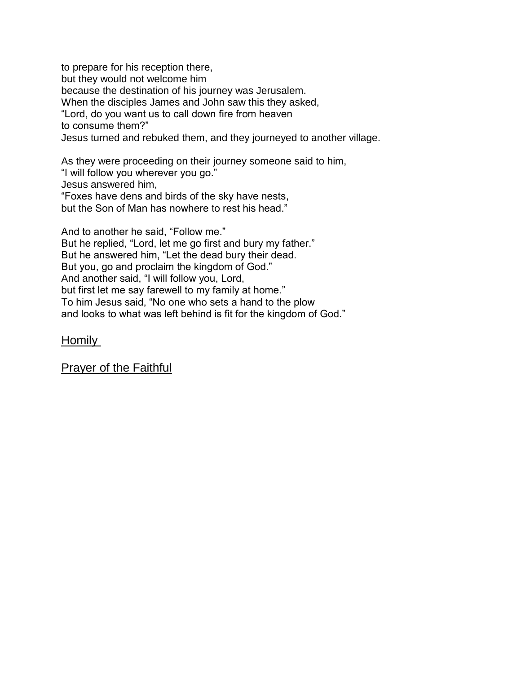to prepare for his reception there, but they would not welcome him because the destination of his journey was Jerusalem. When the disciples James and John saw this they asked, "Lord, do you want us to call down fire from heaven to consume them?" Jesus turned and rebuked them, and they journeyed to another village.

As they were proceeding on their journey someone said to him, "I will follow you wherever you go." Jesus answered him,

"Foxes have dens and birds of the sky have nests, but the Son of Man has nowhere to rest his head."

And to another he said, "Follow me."

But he replied, "Lord, let me go first and bury my father." But he answered him, "Let the dead bury their dead. But you, go and proclaim the kingdom of God." And another said, "I will follow you, Lord, but first let me say farewell to my family at home." To him Jesus said, "No one who sets a hand to the plow and looks to what was left behind is fit for the kingdom of God."

**Homily** 

Prayer of the Faithful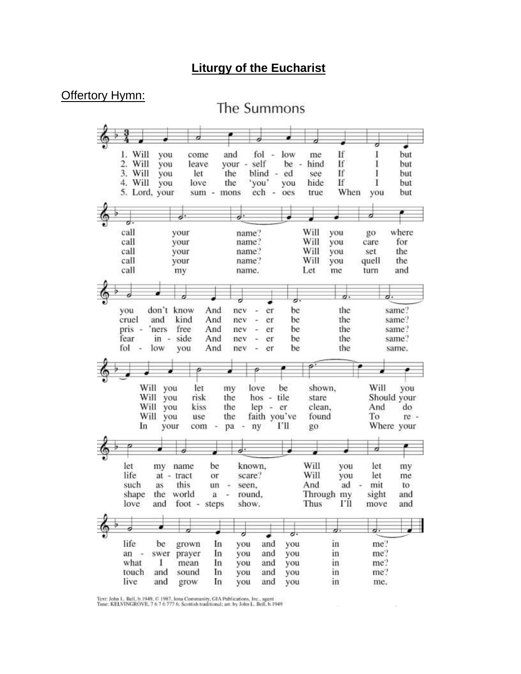# **Liturgy of the Eucharist**

# Offertory Hymn:

The Summons



÷

Text: John L. Bell, b.1949, © 1987, Iona Community, GIA Publications, Inc., agent<br>Tune: KELVINGROVE, 7 6 7 6 777 6; Scottish traditional; art. by John L. Bell, b.1949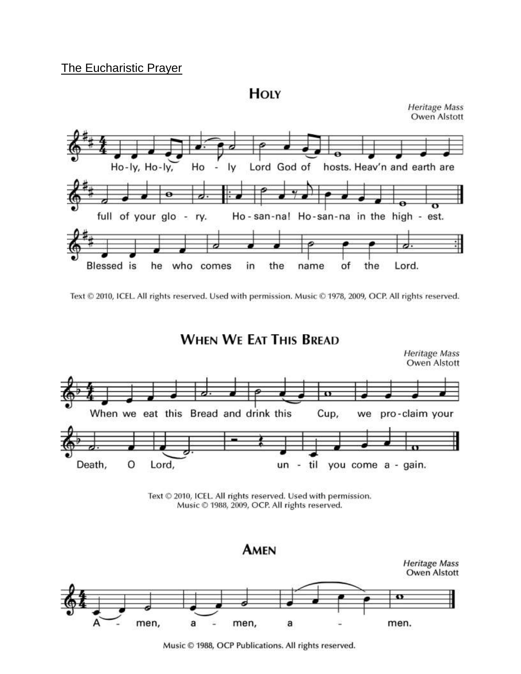#### The Eucharistic Prayer

HOLY



Text © 2010, ICEL. All rights reserved. Used with permission. Music © 1978, 2009, OCP. All rights reserved.

**WHEN WE EAT THIS BREAD** 



Text © 2010, ICEL. All rights reserved. Used with permission. Music © 1988, 2009, OCP. All rights reserved.



Music © 1988, OCP Publications. All rights reserved.